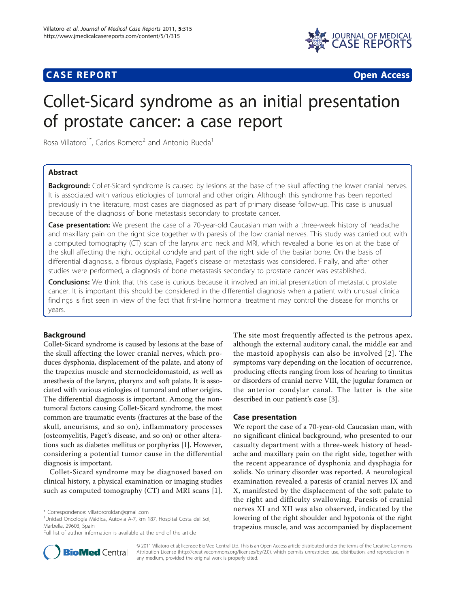# **CASE REPORT CASE REPORT**



# Collet-Sicard syndrome as an initial presentation of prostate cancer: a case report

Rosa Villatoro<sup>1\*</sup>, Carlos Romero<sup>2</sup> and Antonio Rueda<sup>1</sup>

# Abstract

Background: Collet-Sicard syndrome is caused by lesions at the base of the skull affecting the lower cranial nerves. It is associated with various etiologies of tumoral and other origin. Although this syndrome has been reported previously in the literature, most cases are diagnosed as part of primary disease follow-up. This case is unusual because of the diagnosis of bone metastasis secondary to prostate cancer.

Case presentation: We present the case of a 70-year-old Caucasian man with a three-week history of headache and maxillary pain on the right side together with paresis of the low cranial nerves. This study was carried out with a computed tomography (CT) scan of the larynx and neck and MRI, which revealed a bone lesion at the base of the skull affecting the right occipital condyle and part of the right side of the basilar bone. On the basis of differential diagnosis, a fibrous dysplasia, Paget's disease or metastasis was considered. Finally, and after other studies were performed, a diagnosis of bone metastasis secondary to prostate cancer was established.

**Conclusions:** We think that this case is curious because it involved an initial presentation of metastatic prostate cancer. It is important this should be considered in the differential diagnosis when a patient with unusual clinical findings is first seen in view of the fact that first-line hormonal treatment may control the disease for months or years.

# Background

Collet-Sicard syndrome is caused by lesions at the base of the skull affecting the lower cranial nerves, which produces dysphonia, displacement of the palate, and atony of the trapezius muscle and sternocleidomastoid, as well as anesthesia of the larynx, pharynx and soft palate. It is associated with various etiologies of tumoral and other origins. The differential diagnosis is important. Among the nontumoral factors causing Collet-Sicard syndrome, the most common are traumatic events (fractures at the base of the skull, aneurisms, and so on), inflammatory processes (osteomyelitis, Paget's disease, and so on) or other alterations such as diabetes mellitus or porphyrias [[1\]](#page-2-0). However, considering a potential tumor cause in the differential diagnosis is important.

Collet-Sicard syndrome may be diagnosed based on clinical history, a physical examination or imaging studies such as computed tomography (CT) and MRI scans [[1](#page-2-0)].

1 Unidad Oncologia Médica, Autovia A-7, km 187, Hospital Costa del Sol, Marbella, 29603, Spain

The site most frequently affected is the petrous apex, although the external auditory canal, the middle ear and the mastoid apophysis can also be involved [[2\]](#page-2-0). The symptoms vary depending on the location of occurrence, producing effects ranging from loss of hearing to tinnitus or disorders of cranial nerve VIII, the jugular foramen or the anterior condylar canal. The latter is the site described in our patient's case [[3\]](#page-2-0).

#### Case presentation

We report the case of a 70-year-old Caucasian man, with no significant clinical background, who presented to our casualty department with a three-week history of headache and maxillary pain on the right side, together with the recent appearance of dysphonia and dysphagia for solids. No urinary disorder was reported. A neurological examination revealed a paresis of cranial nerves IX and X, manifested by the displacement of the soft palate to the right and difficulty swallowing. Paresis of cranial nerves XI and XII was also observed, indicated by the lowering of the right shoulder and hypotonia of the right trapezius muscle, and was accompanied by displacement



© 2011 Villatoro et al; licensee BioMed Central Ltd. This is an Open Access article distributed under the terms of the Creative Commons Attribution License [\(http://creativecommons.org/licenses/by/2.0](http://creativecommons.org/licenses/by/2.0)), which permits unrestricted use, distribution, and reproduction in any medium, provided the original work is properly cited.

<sup>\*</sup> Correspondence: [villatororoldan@gmail.com](mailto:villatororoldan@gmail.com)

Full list of author information is available at the end of the article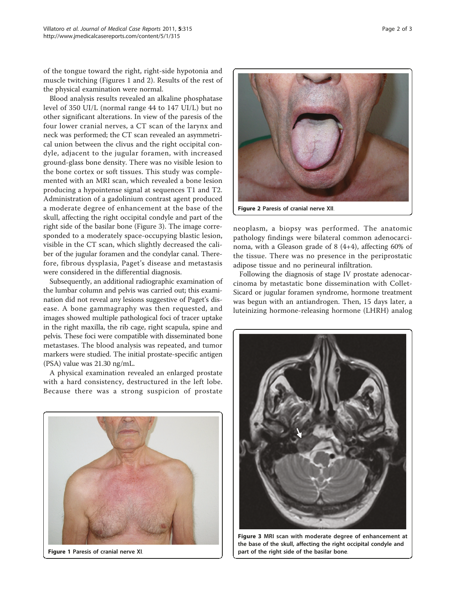of the tongue toward the right, right-side hypotonia and muscle twitching (Figures 1 and 2). Results of the rest of the physical examination were normal.

Blood analysis results revealed an alkaline phosphatase level of 350 UI/L (normal range 44 to 147 UI/L) but no other significant alterations. In view of the paresis of the four lower cranial nerves, a CT scan of the larynx and neck was performed; the CT scan revealed an asymmetrical union between the clivus and the right occipital condyle, adjacent to the jugular foramen, with increased ground-glass bone density. There was no visible lesion to the bone cortex or soft tissues. This study was complemented with an MRI scan, which revealed a bone lesion producing a hypointense signal at sequences T1 and T2. Administration of a gadolinium contrast agent produced a moderate degree of enhancement at the base of the skull, affecting the right occipital condyle and part of the right side of the basilar bone (Figure 3). The image corresponded to a moderately space-occupying blastic lesion, visible in the CT scan, which slightly decreased the caliber of the jugular foramen and the condylar canal. Therefore, fibrous dysplasia, Paget's disease and metastasis were considered in the differential diagnosis.

Subsequently, an additional radiographic examination of the lumbar column and pelvis was carried out; this examination did not reveal any lesions suggestive of Paget's disease. A bone gammagraphy was then requested, and images showed multiple pathological foci of tracer uptake in the right maxilla, the rib cage, right scapula, spine and pelvis. These foci were compatible with disseminated bone metastases. The blood analysis was repeated, and tumor markers were studied. The initial prostate-specific antigen (PSA) value was 21.30 ng/mL.

A physical examination revealed an enlarged prostate with a hard consistency, destructured in the left lobe. Because there was a strong suspicion of prostate



Figure 1 Paresis of cranial nerve XI.

Figure 2 Paresis of cranial nerve XII.

neoplasm, a biopsy was performed. The anatomic pathology findings were bilateral common adenocarcinoma, with a Gleason grade of 8 (4+4), affecting 60% of the tissue. There was no presence in the periprostatic adipose tissue and no perineural infiltration.

Following the diagnosis of stage IV prostate adenocarcinoma by metastatic bone dissemination with Collet-Sicard or jugular foramen syndrome, hormone treatment was begun with an antiandrogen. Then, 15 days later, a luteinizing hormone-releasing hormone (LHRH) analog



Figure 3 MRI scan with moderate degree of enhancement at the base of the skull, affecting the right occipital condyle and part of the right side of the basilar bone.